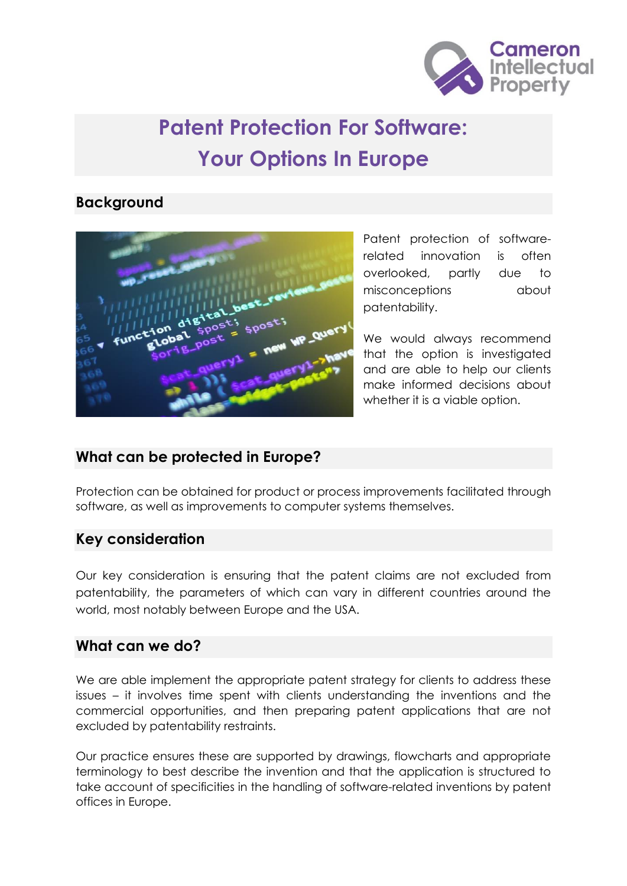

# **Patent Protection For Software: Your Options In Europe**

## **Background**



Patent protection of softwarerelated innovation is often overlooked, partly due to misconceptions about patentability.

We would always recommend that the option is investigated and are able to help our clients make informed decisions about whether it is a viable option.

## **What can be protected in Europe?**

Protection can be obtained for product or process improvements facilitated through software, as well as improvements to computer systems themselves.

#### **Key consideration**

Our key consideration is ensuring that the patent claims are not excluded from patentability, the parameters of which can vary in different countries around the world, most notably between Europe and the USA.

## **What can we do?**

We are able implement the appropriate patent strategy for clients to address these issues – it involves time spent with clients understanding the inventions and the commercial opportunities, and then preparing patent applications that are not excluded by patentability restraints.

Our practice ensures these are supported by drawings, flowcharts and appropriate terminology to best describe the invention and that the application is structured to take account of specificities in the handling of software-related inventions by patent offices in Europe.